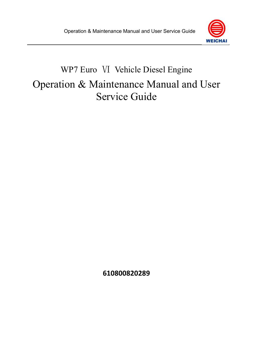

# WP7 Euro Ⅵ Vehicle Diesel Engine Operation & Maintenance Manual and User Service Guide

**610800820289**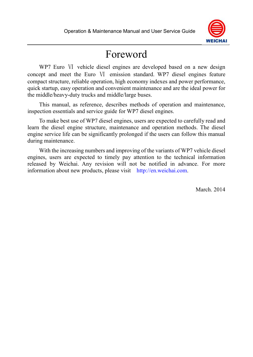

## Foreword

WP7 Euro VI vehicle diesel engines are developed based on a new design concept and meet the Euro Ⅵ emission standard. WP7 diesel engines feature compact structure, reliable operation, high economy indexes and power performance, quick startup, easy operation and convenient maintenance and are the ideal power for the middle/heavy-duty trucks and middle/large buses.

This manual, as reference, describes methods of operation and maintenance, inspection essentials and service guide for WP7 diesel engines.

To make best use of WP7 diesel engines, users are expected to carefully read and learn the diesel engine structure, maintenance and operation methods. The diesel engine service life can be significantly prolonged if the users can follow this manual during maintenance.

With the increasing numbers and improving of the variants of WP7 vehicle diesel engines, users are expected to timely pay attention to the technical information released by Weichai. Any revision will not be notified in advance. For more information about new products, please visit http://en.weichai.com.

March. 2014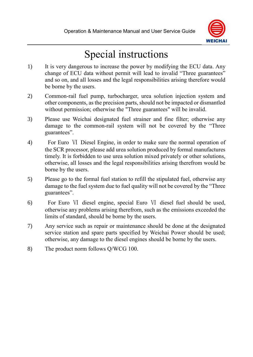

# Special instructions

- 1) It is very dangerous to increase the power by modifying the ECU data. Any change of ECU data without permit will lead to invalid "Three guarantees" and so on, and all losses and the legal responsibilities arising therefore would be borne by the users.
- 2) Common-rail fuel pump, turbocharger, urea solution injection system and other components, as the precision parts, should not be impacted or dismantled without permission; otherwise the "Three guarantees" will be invalid.
- 3) Please use Weichai designated fuel strainer and fine filter; otherwise any damage to the common-rail system will not be covered by the "Three guarantees".
- 4) For Euro Ⅵ Diesel Engine, in order to make sure the normal operation of the SCR processor, please add urea solution produced by formal manufactures timely. It is forbidden to use urea solution mixed privately or other solutions, otherwise, all losses and the legal responsibilities arising therefrom would be borne by the users.
- 5) Please go to the formal fuel station to refill the stipulated fuel, otherwise any damage to the fuel system due to fuel quality will not be covered by the "Three guarantees".
- 6) For Euro Ⅵ diesel engine, special Euro Ⅵ diesel fuel should be used, otherwise any problems arising therefrom, such as the emissions exceeded the limits of standard, should be borne by the users.
- 7) Any service such as repair or maintenance should be done at the designated service station and spare parts specified by Weichai Power should be used; otherwise, any damage to the diesel engines should be borne by the users.
- 8) The product norm follows Q/WCG 100.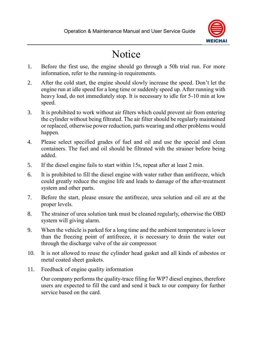

# Notice

- 1. Before the first use, the engine should go through a 50h trial run. For more information, refer to the running-in requirements.
- 2. After the cold start, the engine should slowly increase the speed. Don't let the engine run at idle speed for a long time or suddenly speed up. After running with heavy load, do not immediately stop. It is necessary to idle for 5-10 min at low speed.
- 3. It is prohibited to work without air filters which could prevent air from entering the cylinder without being filtrated. The air filter should be regularly maintained or replaced, otherwise power reduction, parts wearing and other problems would happen.
- 4. Please select specified grades of fuel and oil and use the special and clean containers. The fuel and oil should be filtrated with the strainer before being added.
- 5. If the diesel engine fails to start within 15s, repeat after at least 2 min.
- 6. It is prohibited to fill the diesel engine with water rather than antifreeze, which could greatly reduce the engine life and leads to damage of the after-treatment system and other parts.
- 7. Before the start, please ensure the antifreeze, urea solution and oil are at the proper levels.
- 8. The strainer of urea solution tank must be cleaned regularly, otherwise the OBD system will giving alarm.
- 9. When the vehicle is parked for a long time and the ambient temperature is lower than the freezing point of antifreeze, it is necessary to drain the water out through the discharge valve of the air compressor.
- 10. It is not allowed to reuse the cylinder head gasket and all kinds of asbestos or metal coated sheet gaskets.
- 11. Feedback of engine quality information

Our company performs the quality-trace filing for WP7 diesel engines, therefore users are expected to fill the card and send it back to our company for further service based on the card.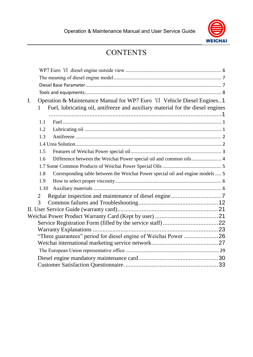

## **CONTENTS**

| Operation & Maintenance Manual for WP7 Euro VI Vehicle Diesel Engines1<br>I.          |  |
|---------------------------------------------------------------------------------------|--|
| Fuel, lubricating oil, antifreeze and auxiliary material for the diesel engines<br>1  |  |
|                                                                                       |  |
| 1.1                                                                                   |  |
| 1.2                                                                                   |  |
| 1.3                                                                                   |  |
|                                                                                       |  |
| 1.5                                                                                   |  |
| Difference between the Weichai Power special oil and common oils  4<br>1.6            |  |
|                                                                                       |  |
| Corresponding table between the Weichai Power special oil and engine models  5<br>1.8 |  |
| 1.9                                                                                   |  |
| 1.10                                                                                  |  |
| $\overline{2}$                                                                        |  |
| 3                                                                                     |  |
|                                                                                       |  |
|                                                                                       |  |
|                                                                                       |  |
|                                                                                       |  |
| "Three guarantees" period for diesel engine of Weichai Power 26                       |  |
|                                                                                       |  |
|                                                                                       |  |
|                                                                                       |  |
|                                                                                       |  |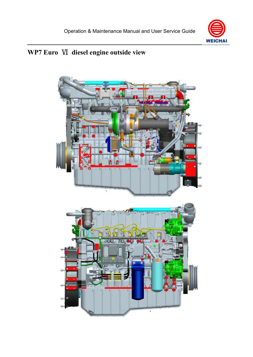

## <span id="page-5-0"></span>**WP7 Euro** Ⅵ **diesel engine outside view**

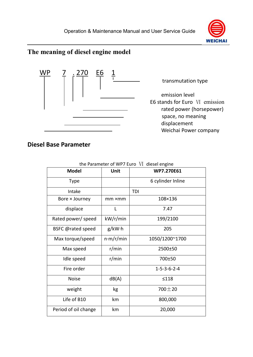

## <span id="page-6-0"></span>**The meaning of diesel engine model**



#### <span id="page-6-1"></span>**Diesel Base Parameter**

| <b>Model</b>             | Unit      | WP7.270E61              |
|--------------------------|-----------|-------------------------|
|                          |           |                         |
| <b>Type</b>              |           | 6 cylinder Inline       |
| Intake                   |           | TDI                     |
| Bore × Journey           | mm ×mm    | 108×136                 |
| displace                 | L         | 7.47                    |
| Rated power/ speed       | kW/r/min  | 199/2100                |
| <b>BSFC @rated speed</b> | g/kW·h    | 205                     |
| Max torque/speed         | n·m/r/min | 1050/1200~1700          |
| Max speed                | r/min     | 2500±50                 |
| Idle speed               | r/min     | 700±50                  |
| Fire order               |           | $1 - 5 - 3 - 6 - 2 - 4$ |
| <b>Noise</b>             | dB(A)     | $\leq 118$              |
| weight                   | kg        | $700 \pm 20$            |
| Life of B10              | km        | 800,000                 |
| Period of oil change     | km        | 20,000                  |

 $\frac{1}{2}$  are  $\frac{1}{2}$  Furo  $\frac{1}{2}$  diesel engineering  $\frac{1}{2}$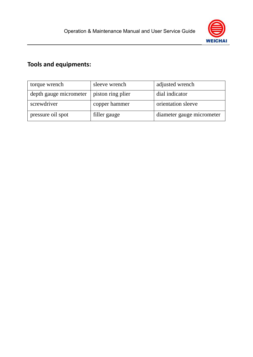

## <span id="page-7-0"></span>**Tools and equipments:**

| torque wrench          | sleeve wrench     | adjusted wrench           |
|------------------------|-------------------|---------------------------|
| depth gauge micrometer | piston ring plier | dial indicator            |
| screwdriver            | copper hammer     | orientation sleeve        |
| pressure oil spot      | filler gauge      | diameter gauge micrometer |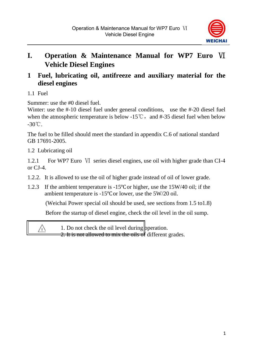

## <span id="page-8-0"></span>**I. Operation & Maintenance Manual for WP7 Euro** Ⅵ **Vehicle Diesel Engines**

### <span id="page-8-1"></span>**1 Fuel, lubricating oil, antifreeze and auxiliary material for the diesel engines**

<span id="page-8-2"></span>1.1 Fuel

Summer: use the #0 diesel fuel.

Winter: use the #-10 diesel fuel under general conditions, use the #-20 diesel fuel when the atmospheric temperature is below -15℃, and #-35 diesel fuel when below -30℃.

The fuel to be filled should meet the standard in appendix C.6 of national standard GB 17691-2005.

<span id="page-8-3"></span>1.2 Lubricating oil

1.2.1 For WP7 Euro VI series diesel engines, use oil with higher grade than CI-4 or  $C<sub>I-4</sub>$ .

- 1.2.2. It is allowed to use the oil of higher grade instead of oil of lower grade.
- 1.2.3 If the ambient temperature is -15℃or higher, use the 15W/40 oil; if the ambient temperature is -15℃or lower, use the 5W/20 oil.

(Weichai Power special oil should be used, see sections from 1.5 to1.8)

Before the startup of diesel engine, check the oil level in the oil sump.

 $\bigwedge$ 

1. Do not check the oil level during peration.

2. It is not allowed to mix the oils of different grades.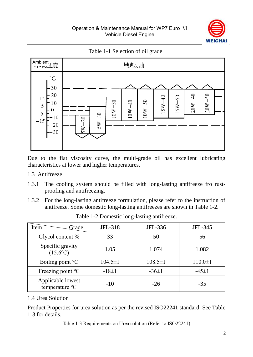

Table 1-1 Selection of oil grade



Due to the flat viscosity curve, the multi-grade oil has excellent lubricating characteristics at lower and higher temperatures.

- <span id="page-9-0"></span>1.3 Antifreeze
- 1.3.1 The cooling system should be filled with long-lasting antifreeze fro rustproofing and antifreezing.
- 1.3.2 For the long-lasting antifreeze formulation, please refer to the instruction of antifreeze. Some domestic long-lasting antifreezes are shown in Table 1-2.

| Grade<br>Item                         | JFL-318       | JFL-336       | JFL-345       |
|---------------------------------------|---------------|---------------|---------------|
| Glycol content %                      | 33            | 50            | 56            |
| Specific gravity<br>$(15.6^{\circ}C)$ | 1.05          | 1.074         | 1.082         |
| Boiling point $\mathrm{C}$            | $104.5 \pm 1$ | $108.5 \pm 1$ | $110.0 \pm 1$ |
| Freezing point °C                     | $-18 \pm 1$   | $-36 \pm 1$   | $-45 \pm 1$   |
| Applicable lowest<br>temperature °C   | $-10$         | $-26$         | $-35$         |

Table 1-2 Domestic long-lasting antifreeze.

#### <span id="page-9-1"></span>1.4 Urea Solution

Product Properties for urea solution as per the revised ISO22241 standard. See Table 1-3 for details.

Table 1-3 Requirements on Urea solution (Refer to ISO22241)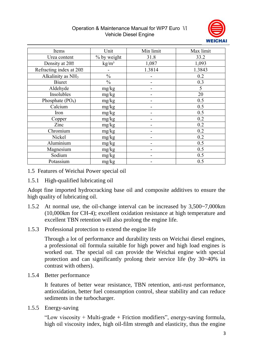#### Operation & Maintenance Manual for WP7 Euro Ⅵ Vehicle Diesel Engine



| Items                         | Unit              | Min limit | Max limit |
|-------------------------------|-------------------|-----------|-----------|
| Urea content                  | % by weight       | 31.8      | 33.2      |
| Density at 20 <sup>m</sup>    | kg/m <sup>3</sup> | 1,087     | 1,093     |
| Refracting index at 202       |                   | 1.3814    | 1.3843    |
| Alkalinity as NH <sub>3</sub> | $\frac{0}{0}$     |           | 0.2       |
| <b>Biuret</b>                 | $\frac{0}{0}$     |           | 0.3       |
| Aldehyde                      | mg/kg             |           | 5         |
| Insolubles                    | mg/kg             |           | 20        |
| Phosphate (PO <sub>4</sub> )  | mg/kg             |           | 0.5       |
| Calcium                       | mg/kg             |           | 0.5       |
| Iron                          | mg/kg             |           | 0.5       |
| Copper                        | mg/kg             | ۰         | 0.2       |
| Zinc                          | mg/kg             |           | 0.2       |
| Chromium                      | mg/kg             |           | 0.2       |
| Nickel                        | mg/kg             |           | 0.2       |
| Aluminium                     | mg/kg             |           | 0.5       |
| Magnesium                     | mg/kg             |           | 0.5       |
| Sodium                        | mg/kg             |           | 0.5       |
| Potassium                     | mg/kg             |           | 0.5       |

- <span id="page-10-0"></span>1.5 Features of Weichai Power special oil
- 1.5.1 High-qualified lubricating oil

Adopt fine imported hydrocracking base oil and composite additives to ensure the high quality of lubricating oil.

- 1.5.2 At normal use, the oil-change interval can be increased by 3,500~7,000km (10,000km for CH-4); excellent oxidation resistance at high temperature and excellent TBN retention will also prolong the engine life.
- 1.5.3 Professional protection to extend the engine life

Through a lot of performance and durability tests on Weichai diesel engines, a professional oil formula suitable for high power and high load engines is worked out. The special oil can provide the Weichai engine with special protection and can significantly prolong their service life (by 30~40% in contrast with others).

1.5.4 Better performance

It features of better wear resistance, TBN retention, anti-rust performance, antioxidation, better fuel consumption control, shear stability and can reduce sediments in the turbocharger.

1.5.5 Energy-saving

"Low viscosity + Multi-grade + Friction modifiers", energy-saving formula, high oil viscosity index, high oil-film strength and elasticity, thus the engine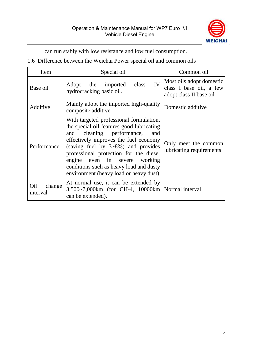

can run stably with low resistance and low fuel consumption.

<span id="page-11-0"></span>1.6 Difference between the Weichai Power special oil and common oils

| Item                      | Special oil                                                                                                                                                                                                                                                                                                                                                                                                           | Common oil                                                                     |
|---------------------------|-----------------------------------------------------------------------------------------------------------------------------------------------------------------------------------------------------------------------------------------------------------------------------------------------------------------------------------------------------------------------------------------------------------------------|--------------------------------------------------------------------------------|
| Base oil                  | IV<br>Adopt the imported<br>class<br>hydrocracking basic oil.                                                                                                                                                                                                                                                                                                                                                         | Most oils adopt domestic<br>class I base oil, a few<br>adopt class II base oil |
| Additive                  | Mainly adopt the imported high-quality<br>composite additive.                                                                                                                                                                                                                                                                                                                                                         | Domestic additive                                                              |
| Performance               | With targeted professional formulation,<br>the special oil features good lubricating<br>cleaning performance,<br>and<br>and<br>effectively improves the fuel economy<br>(saving fuel by $3\negthinspace\negthinspace\negthinspace 8\%$ ) and provides<br>professional protection for the diesel<br>engine even in severe working<br>conditions such as heavy load and dusty<br>environment (heavy load or heavy dust) | Only meet the common<br>lubricating requirements                               |
| Oil<br>change<br>interval | At normal use, it can be extended by<br>3,500~7,000km (for CH-4, 10000km   Normal interval<br>can be extended).                                                                                                                                                                                                                                                                                                       |                                                                                |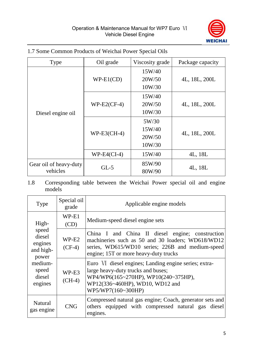

| Type                   | Oil grade     | Viscosity grade | Package capacity |  |
|------------------------|---------------|-----------------|------------------|--|
|                        |               | 15W/40          |                  |  |
|                        | $WP-E1(CD)$   | 20W/50          | 4L, 18L, 200L    |  |
|                        |               | 10W/30          |                  |  |
|                        |               | 15W/40          |                  |  |
|                        | $WP-E2(CF-4)$ | 20W/50          | 4L, 18L, 200L    |  |
| Diesel engine oil      |               | 10W/30          |                  |  |
|                        | $WP-E3(CH-4)$ | 5W/30           |                  |  |
|                        |               | 15W/40          | 4L, 18L, 200L    |  |
|                        |               | 20W/50          |                  |  |
|                        |               | 10W/30          |                  |  |
|                        | $WP-E4(CI-4)$ | 15W/40          | 4L, 18L          |  |
| Gear oil of heavy-duty |               | 85W/90          |                  |  |
| vehicles               | $GL-5$        | 80W/90          | 4L, 18L          |  |

#### <span id="page-12-0"></span>1.7 Some Common Products of Weichai Power Special Oils

<span id="page-12-1"></span>1.8 Corresponding table between the Weichai Power special oil and engine models

| Type                                                      | Special oil<br>grade | Applicable engine models                                                                                                                                                                           |  |
|-----------------------------------------------------------|----------------------|----------------------------------------------------------------------------------------------------------------------------------------------------------------------------------------------------|--|
| High-<br>speed<br>diesel<br>engines<br>and high-<br>power | $WP-E1$<br>(CD)      | Medium-speed diesel engine sets                                                                                                                                                                    |  |
|                                                           | WP-E2<br>$(CF-4)$    | China I and China II diesel engine; construction<br>machineries such as 50 and 30 loaders; WD618/WD12<br>series, WD615/WD10 series; 226B and medium-speed<br>engine; 15T or more heavy-duty trucks |  |
| medium-<br>speed<br>diesel<br>engines                     | WP-E3<br>$(CH-4)$    | Euro VI diesel engines; Landing engine series; extra-<br>large heavy-duty trucks and buses;<br>WP4/WP6(165~270HP), WP10(240~375HP),<br>WP12(336~460HP), WD10, WD12 and<br>WP5/WP7(160~300HP)       |  |
| Natural<br>gas engine                                     | <b>CNG</b>           | Compressed natural gas engine; Coach, generator sets and<br>others equipped with compressed natural gas diesel<br>engines.                                                                         |  |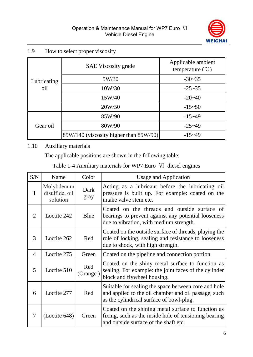

<span id="page-13-0"></span>

| 1.9 | How to select proper viscosity |  |
|-----|--------------------------------|--|
|-----|--------------------------------|--|

|                    | <b>SAE Viscosity grade</b>             | Applicable ambient<br>temperature $(\mathcal{C})$ |
|--------------------|----------------------------------------|---------------------------------------------------|
| Lubricating<br>oil | 5W/30                                  | $-30-35$                                          |
|                    | 10W/30                                 | $-25 - 35$                                        |
|                    | 15W/40                                 | $-20-40$                                          |
|                    | 20W/50                                 | $-15 - 50$                                        |
|                    | 85W/90                                 | $-15 - 49$                                        |
| Gear oil           | 80W/90                                 | $-25 - 49$                                        |
|                    | 85W/140 (viscosity higher than 85W/90) | $-15 - 49$                                        |

#### <span id="page-13-1"></span>1.10 Auxiliary materials

The applicable positions are shown in the following table:

Table 1-4 Auxiliary materials for WP7 Euro Ⅵ diesel engines

| S/N | Name                                     | Color           | Usage and Application                                                                                                                                    |
|-----|------------------------------------------|-----------------|----------------------------------------------------------------------------------------------------------------------------------------------------------|
| 1   | Molybdenum<br>disulfide, oil<br>solution | Dark<br>gray    | Acting as a lubricant before the lubricating oil<br>pressure is built up. For example: coated on the<br>intake valve stem etc.                           |
| 2   | Loctite 242                              | Blue            | Coated on the threads and outside surface of<br>bearings to prevent against any potential looseness<br>due to vibration, with medium strength.           |
| 3   | Loctite 262                              | Red             | Coated on the outside surface of threads, playing the<br>role of locking, sealing and resistance to looseness<br>due to shock, with high strength.       |
| 4   | Loctite 275                              | Green           | Coated on the pipeline and connection portion                                                                                                            |
| 5   | Loctite 510                              | Red<br>(Orange) | Coated on the shiny metal surface to function as<br>sealing. For example: the joint faces of the cylinder<br>block and flywheel housing.                 |
| 6   | Loctite 277                              | Red             | Suitable for sealing the space between core and hole<br>and applied to the oil chamber and oil passage, such<br>as the cylindrical surface of bowl-plug. |
| 7   | (Loctite 648)                            | Green           | Coated on the shining metal surface to function as<br>fixing, such as the inside hole of tensioning bearing<br>and outside surface of the shaft etc.     |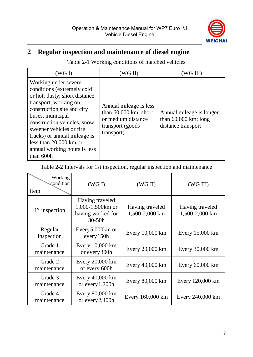

## <span id="page-14-0"></span>**2 Regular inspection and maintenance of diesel engine**

Table 2-1 Working conditions of matched vehicles

| (WG I)                                                                                                                                                                                                                                                                                                                              | (WG II)                                                                                                             |                                                                          |
|-------------------------------------------------------------------------------------------------------------------------------------------------------------------------------------------------------------------------------------------------------------------------------------------------------------------------------------|---------------------------------------------------------------------------------------------------------------------|--------------------------------------------------------------------------|
| Working under severe<br>conditions (extremely cold<br>or hot; dusty; short distance<br>transport; working on<br>construction site and city<br>buses, municipal<br>construction vehicles, snow<br>sweeper vehicles or fire.<br>trucks) or annual mileage is<br>less than $20,000$ km or<br>annual working hours is less<br>than 600h | Annual mileage is less<br>than $60,000 \text{ km}$ ; short<br>or medium distance<br>transport (goods)<br>transport) | Annual mileage is longer<br>than $60,000$ km; long<br>distance transport |

Table 2-2 Intervals for 1st inspection, regular inspection and maintenance

| Working<br>condition<br>Item | (WG I)                                                                 | (WG II)                           | (WG III)                          |
|------------------------------|------------------------------------------------------------------------|-----------------------------------|-----------------------------------|
| $1st$ inspection             | Having traveled<br>1,000-1,500km or<br>having worked for<br>$30 - 50h$ | Having traveled<br>1,500-2,000 km | Having traveled<br>1,500-2,000 km |
| Regular<br>inspection        | Every 5,000km or<br>every 150h                                         | Every 10,000 km                   | Every $15,000 \text{ km}$         |
| Grade 1<br>maintenance       | Every 10,000 km<br>or every 300h                                       | Every 20,000 km                   | Every 30,000 km                   |
| Grade 2<br>maintenance       | Every 20,000 km<br>or every 600h                                       | Every 40,000 km                   | Every $60,000$ km                 |
| Grade 3<br>maintenance       | Every 40,000 km<br>or every $1,200h$                                   | Every 80,000 km                   | Every 120,000 km                  |
| Grade 4<br>maintenance       | Every 80,000 km<br>or every 2,400h                                     | Every 160,000 km                  | Every 240,000 km                  |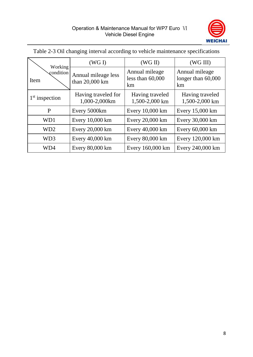

| Working           | (WG I)                                | (WG II)                                    | (WG III)                                   |
|-------------------|---------------------------------------|--------------------------------------------|--------------------------------------------|
| condition<br>Item | Annual mileage less<br>than 20,000 km | Annual mileage<br>less than $60,000$<br>km | Annual mileage<br>longer than 60,000<br>km |
| $1st$ inspection  | Having traveled for<br>1,000-2,000km  | Having traveled<br>1,500-2,000 km          | Having traveled<br>1,500-2,000 km          |
| P                 | Every 5000km                          | Every 10,000 km                            | Every 15,000 km                            |
| WD1               | Every 10,000 km                       | Every 20,000 km                            | Every 30,000 km                            |
| WD <sub>2</sub>   | Every 20,000 km                       | Every 40,000 km                            | Every 60,000 km                            |
| WD3               | Every 40,000 km                       | Every 80,000 km                            | Every 120,000 km                           |
| WD4               | Every 80,000 km                       | Every 160,000 km                           | Every 240,000 km                           |

Table 2-3 Oil changing interval according to vehicle maintenance specifications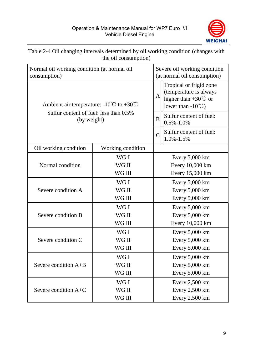

#### Table 2-4 Oil changing intervals determined by oil working condition (changes with the oil consumption)

| Normal oil working condition (at normal oil<br>consumption) |                   |                 | Severe oil working condition<br>(at normal oil consumption)                                                        |  |
|-------------------------------------------------------------|-------------------|-----------------|--------------------------------------------------------------------------------------------------------------------|--|
| Ambient air temperature: -10°C to +30°C                     |                   |                 | Tropical or frigid zone<br>(temperature is always<br>higher than $+30^{\circ}$ C or<br>lower than $-10^{\circ}$ C) |  |
| Sulfur content of fuel: less than 0.5%<br>(by weight)       |                   | B               | Sulfur content of fuel:<br>$0.5\% - 1.0\%$                                                                         |  |
|                                                             |                   | $\overline{C}$  | Sulfur content of fuel:<br>$1.0\% - 1.5\%$                                                                         |  |
| Oil working condition                                       | Working condition |                 |                                                                                                                    |  |
|                                                             | WG I              |                 | Every $5,000 \text{ km}$                                                                                           |  |
| Normal condition                                            | WG II             |                 | Every 10,000 km                                                                                                    |  |
|                                                             | WG III            |                 | Every 15,000 km                                                                                                    |  |
|                                                             | WG I              |                 | Every $5,000 \text{ km}$                                                                                           |  |
| Severe condition A                                          | WG II             |                 | Every 5,000 km                                                                                                     |  |
|                                                             | WG III            |                 | Every $5,000$ km                                                                                                   |  |
|                                                             | WG I              |                 | Every $5,000$ km                                                                                                   |  |
| Severe condition B                                          | WG II             |                 | Every 5,000 km                                                                                                     |  |
|                                                             | WG III            | Every 10,000 km |                                                                                                                    |  |
|                                                             | WG I              |                 | Every $5,000$ km                                                                                                   |  |
| Severe condition C                                          | WG II             |                 | Every 5,000 km                                                                                                     |  |
|                                                             | WG III            | Every 5,000 km  |                                                                                                                    |  |
|                                                             | WG I              |                 | Every $5,000 \text{ km}$                                                                                           |  |
| Severe condition $A+B$                                      | WG II             | Every 5,000 km  |                                                                                                                    |  |
|                                                             | WG III            |                 | Every 5,000 km                                                                                                     |  |
|                                                             | WG I              |                 | Every $2,500$ km                                                                                                   |  |
| Severe condition $A+C$                                      | WG II             |                 | Every 2,500 km                                                                                                     |  |
|                                                             | WG III            |                 | Every 2,500 km                                                                                                     |  |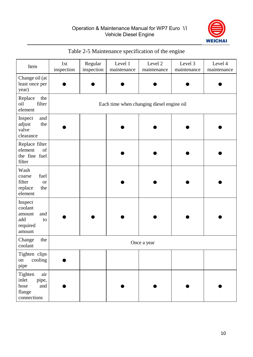

| Item                                                                       | 1st<br>inspection | Regular<br>inspection                     | Level 1<br>maintenance | Level 2<br>maintenance | Level 3<br>maintenance | Level 4<br>maintenance |
|----------------------------------------------------------------------------|-------------------|-------------------------------------------|------------------------|------------------------|------------------------|------------------------|
| Change oil (at<br>least once per<br>year)                                  |                   |                                           |                        |                        |                        |                        |
| Replace<br>the<br>oil<br>filter<br>element                                 |                   | Each time when changing diesel engine oil |                        |                        |                        |                        |
| and<br>Inspect<br>the<br>adjust<br>valve<br>clearance                      |                   |                                           |                        |                        |                        |                        |
| Replace filter<br>of<br>element<br>the fine fuel<br>filter                 |                   |                                           |                        |                        |                        |                        |
| Wash<br>fuel<br>coarse<br>filter<br><b>or</b><br>replace<br>the<br>element |                   |                                           |                        |                        |                        |                        |
| Inspect<br>coolant<br>and<br>amount<br>add<br>to<br>required<br>amount     |                   |                                           |                        |                        |                        |                        |
| Change<br>the<br>coolant                                                   |                   |                                           |                        | Once a year            |                        |                        |
| Tighten clips<br>cooling<br>on<br>pipe                                     |                   |                                           |                        |                        |                        |                        |
| Tighten<br>air<br>inlet<br>pipe,<br>hose<br>and<br>flange<br>connections   |                   |                                           |                        |                        |                        |                        |

#### Table 2-5 Maintenance specification of the engine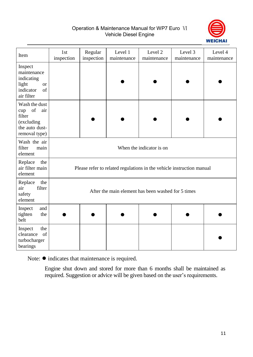Operation & Maintenance Manual for WP7 Euro Ⅵ Vehicle Diesel Engine



| Item                                                                                                                                                                                         | 1 <sub>st</sub><br>inspection                                         | Regular<br>inspection | Level 1<br>maintenance | Level 2<br>maintenance | Level 3<br>maintenance | Level 4<br>maintenance |
|----------------------------------------------------------------------------------------------------------------------------------------------------------------------------------------------|-----------------------------------------------------------------------|-----------------------|------------------------|------------------------|------------------------|------------------------|
| Inspect<br>maintenance<br>indicating<br>light<br><b>or</b><br>of<br>indicator<br>air filter                                                                                                  |                                                                       |                       |                        |                        |                        |                        |
| Wash the dust<br>$% \left( \left( \mathcal{A},\mathcal{A}\right) \right) =\left( \mathcal{A},\mathcal{A}\right)$ of<br>air<br>cup<br>filter<br>(excluding<br>the auto dust-<br>removal type) |                                                                       |                       |                        |                        |                        |                        |
| Wash the air<br>filter<br>main<br>element                                                                                                                                                    | When the indicator is on                                              |                       |                        |                        |                        |                        |
| Replace<br>the<br>air filter main<br>element                                                                                                                                                 | Please refer to related regulations in the vehicle instruction manual |                       |                        |                        |                        |                        |
| the<br>Replace<br>filter<br>air<br>safety<br>element                                                                                                                                         | After the main element has been washed for 5 times                    |                       |                        |                        |                        |                        |
| Inspect<br>and<br>tighten<br>the<br>belt                                                                                                                                                     |                                                                       |                       |                        |                        |                        |                        |
| the<br>Inspect<br>of<br>clearance<br>turbocharger<br>bearings                                                                                                                                |                                                                       |                       |                        |                        |                        |                        |

Note: ● indicates that maintenance is required.

Engine shut down and stored for more than 6 months shall be maintained as required. Suggestion or advice will be given based on the user's requirements.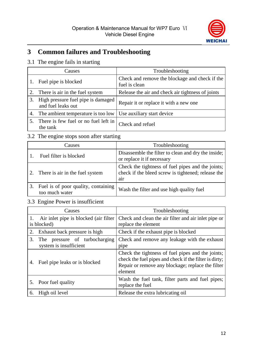

## <span id="page-19-0"></span>**3 Common failures and Troubleshooting**

#### 3.1 The engine fails in starting

|    | Causes                                                   | Troubleshooting                                                 |
|----|----------------------------------------------------------|-----------------------------------------------------------------|
|    | Fuel pipe is blocked                                     | Check and remove the blockage and check if the<br>fuel is clean |
| 2. | There is air in the fuel system                          | Release the air and check air tightness of joints               |
| 3. | High pressure fuel pipe is damaged<br>and fuel leaks out | Repair it or replace it with a new one                          |
| 4. | The ambient temperature is too low                       | Use auxiliary start device                                      |
|    | There is few fuel or no fuel left in<br>the tank         | Check and refuel                                                |

#### 3.2 The engine stops soon after starting

| Causes                                                | Troubleshooting                                                                                                |
|-------------------------------------------------------|----------------------------------------------------------------------------------------------------------------|
| Fuel filter is blocked                                | Disassemble the filter to clean and dry the inside;<br>or replace it if necessary                              |
| There is air in the fuel system                       | Check the tightness of fuel pipes and the joints;<br>check if the bleed screw is tightened; release the<br>air |
| Fuel is of poor quality, containing<br>too much water | Wash the filter and use high quality fuel                                                                      |

#### 3.3 Engine Power is insufficient

| Causes                                                        | Troubleshooting                                                                                                                                                             |
|---------------------------------------------------------------|-----------------------------------------------------------------------------------------------------------------------------------------------------------------------------|
| Air inlet pipe is blocked (air filter<br>1.<br>is blocked)    | Check and clean the air filter and air inlet pipe or<br>replace the element                                                                                                 |
| Exhaust back pressure is high<br>2.                           | Check if the exhaust pipe is blocked                                                                                                                                        |
| 3.<br>The pressure of turbocharging<br>system is insufficient | Check and remove any leakage with the exhaust<br>pipe                                                                                                                       |
| Fuel pipe leaks or is blocked<br>4.                           | Check the tightness of fuel pipes and the joints;<br>check the fuel pipes and check if the filter is dirty;<br>Repair or remove any blockage; replace the filter<br>element |
| 5. Poor fuel quality                                          | Wash the fuel tank, filter parts and fuel pipes;<br>replace the fuel                                                                                                        |
| High oil level<br>6.                                          | Release the extra lubricating oil                                                                                                                                           |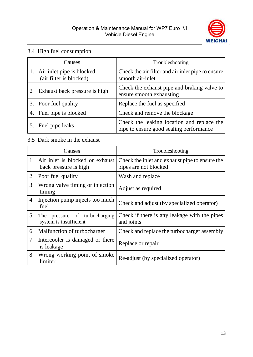

#### 3.4 High fuel consumption

| Causes                                               | Troubleshooting                                                                       |
|------------------------------------------------------|---------------------------------------------------------------------------------------|
| Air inlet pipe is blocked<br>(air filter is blocked) | Check the air filter and air inlet pipe to ensure<br>smooth air-inlet                 |
| Exhaust back pressure is high                        | Check the exhaust pipe and braking valve to<br>ensure smooth exhausting               |
| 3. Poor fuel quality                                 | Replace the fuel as specified                                                         |
| Fuel pipe is blocked                                 | Check and remove the blockage                                                         |
| Fuel pipe leaks                                      | Check the leaking location and replace the<br>pipe to ensure good sealing performance |

### 3.5 Dark smoke in the exhaust

|                | Causes                                                   | Troubleshooting                                                         |
|----------------|----------------------------------------------------------|-------------------------------------------------------------------------|
| $\mathbf{1}$ . | Air inlet is blocked or exhaust<br>back pressure is high | Check the inlet and exhaust pipe to ensure the<br>pipes are not blocked |
|                | 2. Poor fuel quality                                     | Wash and replace                                                        |
| 3.             | Wrong valve timing or injection<br>timing                | Adjust as required                                                      |
| 4.             | Injection pump injects too much<br>fuel                  | Check and adjust (by specialized operator)                              |
| 5.             | The pressure of turbocharging<br>system is insufficient  | Check if there is any leakage with the pipes<br>and joints              |
| 6.             | Malfunction of turbocharger                              | Check and replace the turbocharger assembly                             |
|                | 7. Intercooler is damaged or there<br>is leakage         | Replace or repair                                                       |
| 8.             | Wrong working point of smoke<br>limiter                  | Re-adjust (by specialized operator)                                     |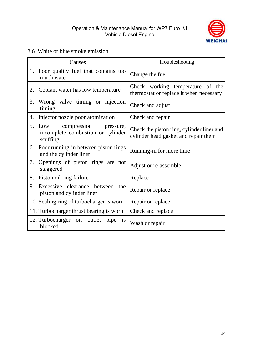

#### 3.6 White or blue smoke emission

|    | Causes                                                                           | Troubleshooting                                                                   |
|----|----------------------------------------------------------------------------------|-----------------------------------------------------------------------------------|
|    | 1. Poor quality fuel that contains too<br>much water                             | Change the fuel                                                                   |
| 2. | Coolant water has low temperature                                                | Check working temperature of the<br>thermostat or replace it when necessary       |
| 3. | Wrong valve timing or injection<br>timing                                        | Check and adjust                                                                  |
| 4. | Injector nozzle poor atomization                                                 | Check and repair                                                                  |
| 5. | Low<br>compression<br>pressure,<br>incomplete combustion or cylinder<br>scuffing | Check the piston ring, cylinder liner and<br>cylinder head gasket and repair them |
|    | 6. Poor running-in between piston rings<br>and the cylinder liner                | Running-in for more time                                                          |
| 7. | Openings of piston rings are not<br>staggered                                    | Adjust or re-assemble                                                             |
| 8. | Piston oil ring failure                                                          | Replace                                                                           |
| 9. | Excessive clearance between the<br>piston and cylinder liner                     | Repair or replace                                                                 |
|    | 10. Sealing ring of turbocharger is worn                                         | Repair or replace                                                                 |
|    | 11. Turbocharger thrust bearing is worn                                          | Check and replace                                                                 |
|    | 12. Turbocharger oil outlet pipe<br><b>1S</b><br>blocked                         | Wash or repair                                                                    |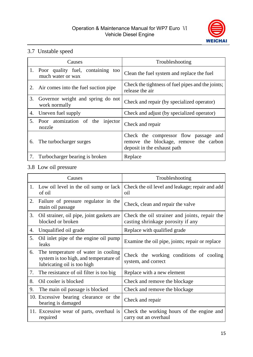

#### 3.7 Unstable speed

|    | Causes                                                    | Troubleshooting                                                                                                |
|----|-----------------------------------------------------------|----------------------------------------------------------------------------------------------------------------|
|    | 1. Poor quality fuel, containing too<br>much water or wax | Clean the fuel system and replace the fuel                                                                     |
| 2. | Air comes into the fuel suction pipe                      | Check the tightness of fuel pipes and the joints;<br>release the air                                           |
| 3. | Governor weight and spring do not<br>work normally        | Check and repair (by specialized operator)                                                                     |
| 4. | Uneven fuel supply                                        | Check and adjust (by specialized operator)                                                                     |
| 5. | Poor atomization of the injector<br>nozzle                | Check and repair                                                                                               |
| 6. | The turbocharger surges                                   | Check the compressor flow passage and<br>remove the blockage, remove the carbon<br>deposit in the exhaust path |
| 7. | Turbocharger bearing is broken                            | Replace                                                                                                        |

#### 3.8 Low oil pressure

|    | Causes                                                                                                       | Troubleshooting                                                                    |
|----|--------------------------------------------------------------------------------------------------------------|------------------------------------------------------------------------------------|
|    | 1. Low oil level in the oil sump or lack<br>of oil                                                           | Check the oil level and leakage; repair and add<br>oil                             |
| 2. | Failure of pressure regulator in the<br>main oil passage                                                     | Check, clean and repair the valve                                                  |
| 3. | Oil strainer, oil pipe, joint gaskets are<br>blocked or broken                                               | Check the oil strainer and joints, repair the<br>casting shrinkage porosity if any |
| 4. | Unqualified oil grade                                                                                        | Replace with qualified grade                                                       |
| 5. | Oil inlet pipe of the engine oil pump<br>leaks                                                               | Examine the oil pipe, joints; repair or replace                                    |
| 6. | The temperature of water in cooling<br>system is too high, and temperature of<br>lubricating oil is too high | Check the working conditions of cooling<br>system, and correct                     |
| 7. | The resistance of oil filter is too big                                                                      | Replace with a new element                                                         |
| 8. | Oil cooler is blocked                                                                                        | Check and remove the blockage                                                      |
| 9. | The main oil passage is blocked                                                                              | Check and remove the blockage                                                      |
|    | 10. Excessive bearing clearance or the<br>bearing is damaged                                                 | Check and repair                                                                   |
|    | 11. Excessive wear of parts, overhaul is<br>required                                                         | Check the working hours of the engine and<br>carry out an overhaul                 |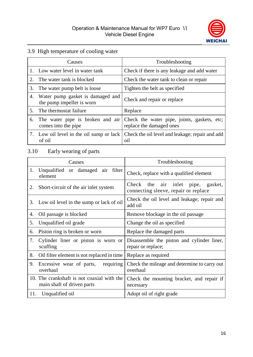

#### 3.9 High temperature of cooling water

|    | Causes                                                        | Troubleshooting                                                                                          |
|----|---------------------------------------------------------------|----------------------------------------------------------------------------------------------------------|
|    | 1. Low water level in water tank                              | Check if there is any leakage and add water                                                              |
|    | The water tank is blocked                                     | Check the water tank to clean or repair                                                                  |
| 3. | The water pump belt is loose                                  | Tighten the belt as specified                                                                            |
| 4. | Water pump gasket is damaged and<br>the pump impeller is worn | Check and repair or replace                                                                              |
| 5. | The thermostat failure                                        | Replace                                                                                                  |
| 6. | comes into the pipe                                           | The water pipe is broken and air Check the water pipe, joints, gaskets, etc;<br>replace the damaged ones |
|    | Low oil level in the oil sump or lack<br>of oil               | Check the oil level and leakage; repair and add<br>oil                                                   |

#### 3.10 Early wearing of parts

|     | Causes                                                                   | Troubleshooting                                                                    |
|-----|--------------------------------------------------------------------------|------------------------------------------------------------------------------------|
| 1.  | Unqualified or damaged air filter<br>element                             | Check, replace with a qualified element                                            |
| 2.  | Short-circuit of the air inlet system                                    | the air inlet<br>Check<br>pipe,<br>gasket,<br>connecting sleeve, repair or replace |
| 3.  | Low oil level in the sump or lack of oil                                 | Check the oil level and leakage; repair and<br>add oil                             |
| 4.  | Oil passage is blocked                                                   | Remove blockage in the oil passage                                                 |
| 5.  | Unqualified oil grade                                                    | Change the oil as specified                                                        |
| 6.  | Piston ring is broken or worn                                            | Replace the damaged parts                                                          |
| 7.  | Cylinder liner or piston is worn or<br>scuffing                          | Disassemble the piston and cylinder liner,<br>repair or replace;                   |
| 8.  | Oil filter element is not replaced in time                               | Replace as required                                                                |
| 9.  | Excessive wear of parts,<br>requiring<br>overhaul                        | Check the mileage and determine to carry out<br>overhaul                           |
|     | 10. The crankshaft is not coaxial with the<br>main shaft of driven parts | Check the mounting bracket, and repair if<br>necessary                             |
| 11. | Unqualified oil                                                          | Adopt oil of right grade                                                           |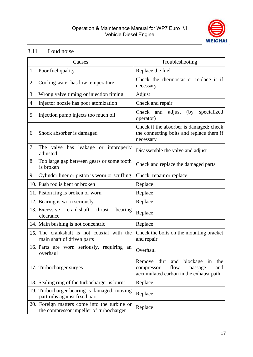#### Operation & Maintenance Manual for WP7 Euro Ⅵ Vehicle Diesel Engine



#### 3.11 Loud noise

|    | Causes                                                                                  | Troubleshooting                                                                                                               |
|----|-----------------------------------------------------------------------------------------|-------------------------------------------------------------------------------------------------------------------------------|
| 1. | Poor fuel quality                                                                       | Replace the fuel                                                                                                              |
| 2. | Cooling water has low temperature                                                       | Check the thermostat or replace it if<br>necessary                                                                            |
| 3. | Wrong valve timing or injection timing                                                  | Adjust                                                                                                                        |
| 4. | Injector nozzle has poor atomization                                                    | Check and repair                                                                                                              |
| 5. | Injection pump injects too much oil                                                     | Check and adjust<br>(by)<br>specialized<br>operator)                                                                          |
| 6. | Shock absorber is damaged                                                               | Check if the absorber is damaged; check<br>the connecting bolts and replace them if<br>necessary                              |
| 7. | The valve has leakage or improperly<br>adjusted                                         | Disassemble the valve and adjust                                                                                              |
| 8. | Too large gap between gears or some tooth<br>is broken                                  | Check and replace the damaged parts                                                                                           |
| 9. | Cylinder liner or piston is worn or scuffing                                            | Check, repair or replace                                                                                                      |
|    | 10. Push rod is bent or broken                                                          | Replace                                                                                                                       |
|    | 11. Piston ring is broken or worn                                                       | Replace                                                                                                                       |
|    | 12. Bearing is worn seriously                                                           | Replace                                                                                                                       |
|    | 13. Excessive<br>crankshaft<br>thrust<br>bearing<br>clearance                           | Replace                                                                                                                       |
|    | 14. Main bushing is not concentric                                                      | Replace                                                                                                                       |
|    | 15. The crankshaft is not coaxial with the<br>main shaft of driven parts                | Check the bolts on the mounting bracket<br>and repair                                                                         |
|    | 16. Parts are worn seriously, requiring an<br>overhaul                                  | Overhaul                                                                                                                      |
|    | 17. Turbocharger surges                                                                 | dirt<br>blockage in<br>the<br>Remove<br>and<br>flow<br>passage<br>compressor<br>and<br>accumulated carbon in the exhaust path |
|    | 18. Sealing ring of the turbocharger is burnt                                           | Replace                                                                                                                       |
|    | 19. Turbocharger bearing is damaged; moving<br>part rubs against fixed part             | Replace                                                                                                                       |
|    | 20. Foreign matters come into the turbine or<br>the compressor impeller of turbocharger | Replace                                                                                                                       |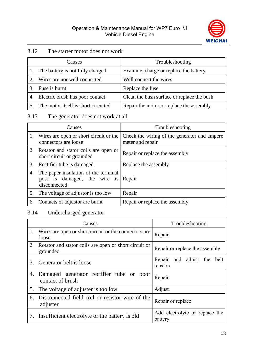

#### 3.12 The starter motor does not work

|    | Causes                              | Troubleshooting                            |
|----|-------------------------------------|--------------------------------------------|
|    | 1. The battery is not fully charged | Examine, charge or replace the battery     |
|    | Wires are nor well connected        | Well connect the wires                     |
|    | Fuse is burnt                       | Replace the fuse                           |
| 4. | Electric brush has poor contact     | Clean the bush surface or replace the bush |
|    | The motor itself is short circuited | Repair the motor or replace the assembly   |

#### 3.13 The generator does not work at all

|    | Causes                                                                               | Troubleshooting                                                  |
|----|--------------------------------------------------------------------------------------|------------------------------------------------------------------|
| Ι. | Wires are open or short circuit or the<br>connectors are loose                       | Check the wiring of the generator and ampere<br>meter and repair |
| 2. | Rotator and stator coils are open or<br>short circuit or grounded                    | Repair or replace the assembly                                   |
| 3. | Rectifier tube is damaged                                                            | Replace the assembly                                             |
| 4. | The paper insulation of the terminal<br>post is damaged, the wire is<br>disconnected | Repair                                                           |
| 5. | The voltage of adjustor is too low                                                   | Repair                                                           |
| 6. | Contacts of adjustor are burnt                                                       | Repair or replace the assembly                                   |

#### 3.14 Undercharged generator

|         | Causes                                                            | Troubleshooting                           |
|---------|-------------------------------------------------------------------|-------------------------------------------|
|         | 1. Wires are open or short circuit or the connectors are<br>loose | Repair                                    |
| 2.      | Rotator and stator coils are open or short circuit or<br>grounded | Repair or replace the assembly            |
| $3_{-}$ | Generator belt is loose                                           | and adjust the belt<br>Repair<br>tension  |
| 4.      | Damaged generator rectifier tube or poor<br>contact of brush      | Repair                                    |
| 5.      | The voltage of adjuster is too low                                | Adjust                                    |
| 6.      | Disconnected field coil or resistor wire of the<br>adjuster       | Repair or replace                         |
|         | 7. Insufficient electrolyte or the battery is old                 | Add electrolyte or replace the<br>battery |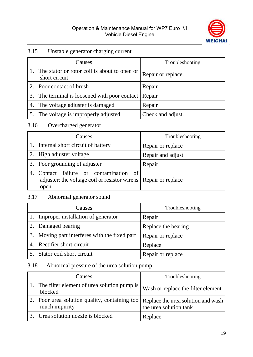

#### 3.15 Unstable generator charging current

|    | Causes                                                        | Troubleshooting    |
|----|---------------------------------------------------------------|--------------------|
|    | The stator or rotor coil is about to open or<br>short circuit | Repair or replace. |
|    | Poor contact of brush                                         | Repair             |
| 3. | The terminal is loosened with poor contact Repair             |                    |
|    | 4. The voltage adjuster is damaged                            | Repair             |
|    | The voltage is improperly adjusted                            | Check and adjust.  |

#### 3.16 Overcharged generator

|    | Causes                                                                                                          | Troubleshooting   |
|----|-----------------------------------------------------------------------------------------------------------------|-------------------|
|    | 1. Internal short circuit of battery                                                                            | Repair or replace |
|    | 2. High adjuster voltage                                                                                        | Repair and adjust |
|    | 3. Poor grounding of adjuster                                                                                   | Repair            |
| 4. | Contact failure or contamination of<br>adjuster; the voltage coil or resistor wire is Repair or replace<br>open |                   |

#### 3.17 Abnormal generator sound

| Causes                                        | Troubleshooting     |
|-----------------------------------------------|---------------------|
| 1. Improper installation of generator         | Repair              |
| 2. Damaged bearing                            | Replace the bearing |
| 3. Moving part interferes with the fixed part | Repair or replace   |
| 4. Rectifier short circuit                    | Replace             |
| Stator coil short circuit                     | Repair or replace   |

#### 3.18 Abnormal pressure of the urea solution pump

| Causes                                                                                             | Troubleshooting                    |
|----------------------------------------------------------------------------------------------------|------------------------------------|
| The filter element of urea solution pump is<br>blocked                                             | Wash or replace the filter element |
| Poor urea solution quality, containing too   Replace the urea solution and wash  <br>much impurity | the urea solution tank             |
| 3. Urea solution nozzle is blocked                                                                 | Replace                            |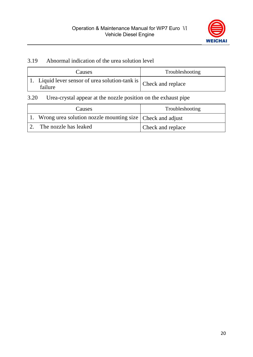

#### 3.19 Abnormal indication of the urea solution level

| Causes                                                                                          | Troubleshooting |
|-------------------------------------------------------------------------------------------------|-----------------|
| $\overline{11}$ . Liquid lever sensor of urea solution-tank is $ $ Check and replace<br>failure |                 |

#### 3.20 Urea-crystal appear at the nozzle position on the exhaust pipe

| Causes                                                         | Troubleshooting   |
|----------------------------------------------------------------|-------------------|
| 1. Wrong urea solution nozzle mounting size   Check and adjust |                   |
| The nozzle has leaked                                          | Check and replace |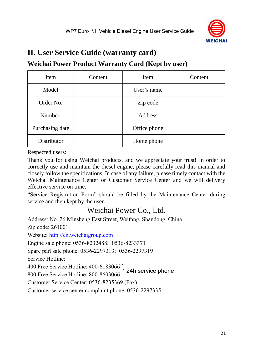

## <span id="page-28-0"></span>**II. User Service Guide (warranty card)**

### <span id="page-28-1"></span>**Weichai Power Product Warranty Card (Kept by user)**

| Item            | Content | Item         | Content |
|-----------------|---------|--------------|---------|
| Model           |         | User's name  |         |
| Order No.       |         | Zip code     |         |
| Number:         |         | Address      |         |
| Purchasing date |         | Office phone |         |
| Distributor     |         | Home phone   |         |

Respected users:

Thank you for using Weichai products, and we appreciate your trust! In order to correctly use and maintain the diesel engine, please carefully read this manual and closely follow the specifications. In case of any failure, please timely contact with the Weichai Maintenance Center or Customer Service Center and we will delivery effective service on time.

"Service Registration Form" should be filled by the Maintenance Center during service and then kept by the user.

## Weichai Power Co., Ltd.

400 Free Service Hotline: 400-6183066 }<br>800 Free Service Hotline: 800-8603066 Address: No. 26 Minsheng East Street, Weifang, Shandong, China Zip code: 261001 Website: http://cn.weichaigroup.com Engine sale phone: 0536-8232488; 0536-8233371 Spare part sale phone: 0536-2297313; 0536-2297319 Service Hotline: 800 Free Service Hotline: 800-8603066 Customer Service Center: 0536-8235369 (Fax) Customer service center complaint phone: 0536-2297335 24h service phone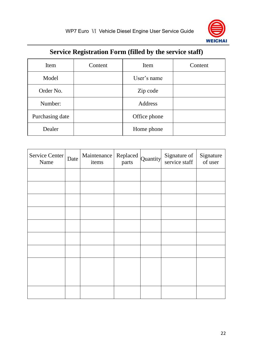

## **Service Registration Form (filled by the service staff)**

<span id="page-29-0"></span>

| Item            | Content | Item         | Content |
|-----------------|---------|--------------|---------|
| Model           |         | User's name  |         |
| Order No.       |         | Zip code     |         |
| Number:         |         | Address      |         |
| Purchasing date |         | Office phone |         |
| Dealer          |         | Home phone   |         |

| Service Center<br>Name | Date | Maintenance   Replaced<br>items | parts | Quantity | Signature of<br>service staff | Signature<br>of user |
|------------------------|------|---------------------------------|-------|----------|-------------------------------|----------------------|
|                        |      |                                 |       |          |                               |                      |
|                        |      |                                 |       |          |                               |                      |
|                        |      |                                 |       |          |                               |                      |
|                        |      |                                 |       |          |                               |                      |
|                        |      |                                 |       |          |                               |                      |
|                        |      |                                 |       |          |                               |                      |
|                        |      |                                 |       |          |                               |                      |
|                        |      |                                 |       |          |                               |                      |
|                        |      |                                 |       |          |                               |                      |
|                        |      |                                 |       |          |                               |                      |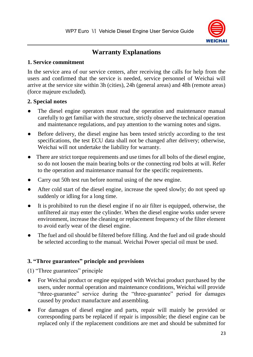

## **Warranty Explanations**

#### <span id="page-30-0"></span>**1. Service commitment**

In the service area of our service centers, after receiving the calls for help from the users and confirmed that the service is needed, service personnel of Weichai will arrive at the service site within 3h (cities), 24h (general areas) and 48h (remote areas) (force majeure excluded).

#### **2. Special notes**

- The diesel engine operators must read the operation and maintenance manual carefully to get familiar with the structure, strictly observe the technical operation and maintenance regulations, and pay attention to the warning notes and signs.
- Before delivery, the diesel engine has been tested strictly according to the test specifications, the test ECU data shall not be changed after delivery; otherwise, Weichai will not undertake the liability for warranty.
- There are strict torque requirements and use times for all bolts of the diesel engine, so do not loosen the main bearing bolts or the connecting rod bolts at will. Refer to the operation and maintenance manual for the specific requirements.
- Carry out 50h test run before normal using of the new engine.
- After cold start of the diesel engine, increase the speed slowly; do not speed up suddenly or idling for a long time.
- It is prohibited to run the diesel engine if no air filter is equipped, otherwise, the unfiltered air may enter the cylinder. When the diesel engine works under severe environment, increase the cleaning or replacement frequency of the filter element to avoid early wear of the diesel engine.
- The fuel and oil should be filtered before filling. And the fuel and oil grade should be selected according to the manual. Weichai Power special oil must be used.

#### **3. "Three guarantees" principle and provisions**

(1) "Three guarantees" principle

- For Weichai product or engine equipped with Weichai product purchased by the users, under normal operation and maintenance conditions, Weichai will provide "three-guarantee" service during the "three-guarantee" period for damages caused by product manufacture and assembling.
- For damages of diesel engine and parts, repair will mainly be provided or corresponding parts be replaced if repair is impossible; the diesel engine can be replaced only if the replacement conditions are met and should be submitted for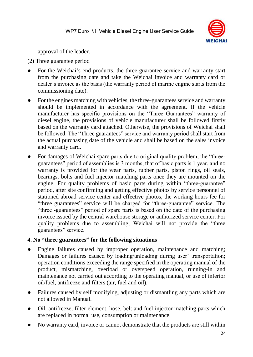

approval of the leader.

(2) Three guarantee period

- For the Weichai's end products, the three-guarantee service and warranty start from the purchasing date and take the Weichai invoice and warranty card or dealer's invoice as the basis (the warranty period of marine engine starts from the commissioning date).
- For the engines matching with vehicles, the three-guarantees service and warranty should be implemented in accordance with the agreement. If the vehicle manufacturer has specific provisions on the "Three Guarantees" warranty of diesel engine, the provisions of vehicle manufacturer shall be followed firstly based on the warranty card attached. Otherwise, the provisions of Weichai shall be followed. The "Three guarantees" service and warranty period shall start from the actual purchasing date of the vehicle and shall be based on the sales invoice and warranty card.
- For damages of Weichai spare parts due to original quality problem, the "threeguarantees" period of assemblies is 3 months, that of basic parts is 1 year, and no warranty is provided for the wear parts, rubber parts, piston rings, oil seals, bearings, bolts and fuel injector matching parts once they are mounted on the engine. For quality problems of basic parts during within "three-guarantee" period, after site confirming and getting effective photos by service personnel of stationed abroad service center and effective photos, the working hours fee for "three guarantees" service will be charged for "three-guarantee" service. The "three -guarantees" period of spare parts is based on the date of the purchasing invoice issued by the central warehouse storage or authorized service center. For quality problems due to assembling, Weichai will not provide the "three guarantees" service.

#### **4. No "three guarantees" for the following situations**

- Engine failures caused by improper operation, maintenance and matching; Damages or failures caused by loading/unloading during user' transportation; operation conditions exceeding the range specified in the operating manual of the product, mismatching, overload or overspeed operation, running-in and maintenance not carried out according to the operating manual, or use of inferior oil/fuel, antifreeze and filters (air, fuel and oil).
- Failures caused by self modifying, adjusting or dismantling any parts which are not allowed in Manual.
- Oil, antifreeze, filter element, hose, belt and fuel injector matching parts which are replaced in normal use, consumption or maintenance.
- No warranty card, invoice or cannot demonstrate that the products are still within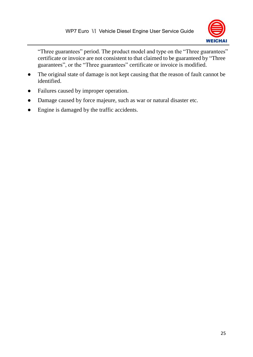

"Three guarantees" period. The product model and type on the "Three guarantees" certificate or invoice are not consistent to that claimed to be guaranteed by "Three guarantees", or the "Three guarantees" certificate or invoice is modified.

- The original state of damage is not kept causing that the reason of fault cannot be identified.
- Failures caused by improper operation.
- Damage caused by force majeure, such as war or natural disaster etc.
- Engine is damaged by the traffic accidents.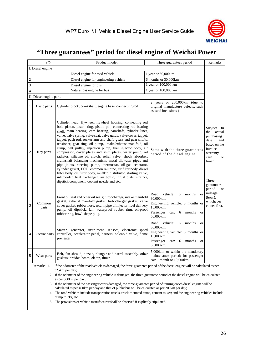

## <span id="page-33-0"></span>**"Three guarantees" period for diesel engine of Weichai Power**

|                                                                                                                                                                                                                                                                                                                                                                                                                                                                                                                                                                                                                                                                                      | S/N                                                                                   |                                                                                                                                                                                                                                                                                                                                                                                                                                                                                                                                                                                                                                                                                                                                                                                                                                                                                                                                                                                      | Product model                                                                                                                                                                                                                                                                                        | Remarks<br>Three guarantees period                                                                                                                                                                                                                 |  |  |  |  |  |  |
|--------------------------------------------------------------------------------------------------------------------------------------------------------------------------------------------------------------------------------------------------------------------------------------------------------------------------------------------------------------------------------------------------------------------------------------------------------------------------------------------------------------------------------------------------------------------------------------------------------------------------------------------------------------------------------------|---------------------------------------------------------------------------------------|--------------------------------------------------------------------------------------------------------------------------------------------------------------------------------------------------------------------------------------------------------------------------------------------------------------------------------------------------------------------------------------------------------------------------------------------------------------------------------------------------------------------------------------------------------------------------------------------------------------------------------------------------------------------------------------------------------------------------------------------------------------------------------------------------------------------------------------------------------------------------------------------------------------------------------------------------------------------------------------|------------------------------------------------------------------------------------------------------------------------------------------------------------------------------------------------------------------------------------------------------------------------------------------------------|----------------------------------------------------------------------------------------------------------------------------------------------------------------------------------------------------------------------------------------------------|--|--|--|--|--|--|
|                                                                                                                                                                                                                                                                                                                                                                                                                                                                                                                                                                                                                                                                                      | I. Diesel engine                                                                      |                                                                                                                                                                                                                                                                                                                                                                                                                                                                                                                                                                                                                                                                                                                                                                                                                                                                                                                                                                                      |                                                                                                                                                                                                                                                                                                      |                                                                                                                                                                                                                                                    |  |  |  |  |  |  |
| $\mathbf{1}$                                                                                                                                                                                                                                                                                                                                                                                                                                                                                                                                                                                                                                                                         |                                                                                       |                                                                                                                                                                                                                                                                                                                                                                                                                                                                                                                                                                                                                                                                                                                                                                                                                                                                                                                                                                                      | Diesel engine for road vehicle                                                                                                                                                                                                                                                                       | 1 year or 60,000km                                                                                                                                                                                                                                 |  |  |  |  |  |  |
| $\overline{2}$                                                                                                                                                                                                                                                                                                                                                                                                                                                                                                                                                                                                                                                                       |                                                                                       |                                                                                                                                                                                                                                                                                                                                                                                                                                                                                                                                                                                                                                                                                                                                                                                                                                                                                                                                                                                      | Diesel engine for engineering vehicle                                                                                                                                                                                                                                                                | 6 months or 30,000km                                                                                                                                                                                                                               |  |  |  |  |  |  |
| $\overline{\mathbf{3}}$                                                                                                                                                                                                                                                                                                                                                                                                                                                                                                                                                                                                                                                              |                                                                                       |                                                                                                                                                                                                                                                                                                                                                                                                                                                                                                                                                                                                                                                                                                                                                                                                                                                                                                                                                                                      | Diesel engine for bus                                                                                                                                                                                                                                                                                | 1 year or 100,000 km                                                                                                                                                                                                                               |  |  |  |  |  |  |
| $\overline{\mathbf{4}}$                                                                                                                                                                                                                                                                                                                                                                                                                                                                                                                                                                                                                                                              |                                                                                       |                                                                                                                                                                                                                                                                                                                                                                                                                                                                                                                                                                                                                                                                                                                                                                                                                                                                                                                                                                                      | Natural gas engine for bus                                                                                                                                                                                                                                                                           | 1 year or 100,000 km                                                                                                                                                                                                                               |  |  |  |  |  |  |
|                                                                                                                                                                                                                                                                                                                                                                                                                                                                                                                                                                                                                                                                                      | II. Diesel engine parts                                                               |                                                                                                                                                                                                                                                                                                                                                                                                                                                                                                                                                                                                                                                                                                                                                                                                                                                                                                                                                                                      |                                                                                                                                                                                                                                                                                                      |                                                                                                                                                                                                                                                    |  |  |  |  |  |  |
| $\mathbf{1}$                                                                                                                                                                                                                                                                                                                                                                                                                                                                                                                                                                                                                                                                         | Basic parts                                                                           |                                                                                                                                                                                                                                                                                                                                                                                                                                                                                                                                                                                                                                                                                                                                                                                                                                                                                                                                                                                      | Cylinder block, crankshaft, engine base, connecting rod                                                                                                                                                                                                                                              | 2 years or 200,000km (due to<br>original manufacture defects, such<br>as sand inclusions)                                                                                                                                                          |  |  |  |  |  |  |
| $\overline{2}$                                                                                                                                                                                                                                                                                                                                                                                                                                                                                                                                                                                                                                                                       | Key parts                                                                             | Cylinder head, flywheel, flywheel housing, connecting rod<br>bolt, piston, piston ring, piston pin, connecting rod bearing<br>shell, main bearing, cam bearing, camshaft, cylinder liner,<br>valve, valve spring, valve seat, valve guide, valve cover, tappet,<br>tappet, push rod, rocker arm and shaft, gears and gear shafts,<br>tensioner, gear ring, oil pump, intake/exhaust manifold, oil<br>sump, belt pulley, injection pump, fuel injector body, air<br>compressor, cover plates and shim plates, water pump, oil<br>radiator, silicone oil clutch, relief valve, shock absorber,<br>crankshaft balancing mechanism, metal oil/water pipes and<br>pipe joints, steering pump, thermostat, oil-gas separator,<br>cylinder gasket, ECU, common rail pipe, air filter body, diesel<br>filter body, oil filter body, muffler, distributor, starting valve,<br>intercooler, heat exchanger, air bottle, thrust plate, strainer,<br>dipstick component, coolant nozzle and etc. |                                                                                                                                                                                                                                                                                                      | Subject<br>to<br>the<br>actual<br>purchasing<br>date<br>and<br>based on the<br>invoice,<br>Same with the three guarantees<br>warranty<br>period of the diesel engine.<br>card<br><b>or</b><br>timer.<br>Three<br>guarantees<br>period<br><b>or</b> |  |  |  |  |  |  |
| 3                                                                                                                                                                                                                                                                                                                                                                                                                                                                                                                                                                                                                                                                                    | Common<br>parts                                                                       |                                                                                                                                                                                                                                                                                                                                                                                                                                                                                                                                                                                                                                                                                                                                                                                                                                                                                                                                                                                      | Front oil seal and other oil seals; turbocharger, intake manifold<br>gasket, exhaust manifold gasket, turbocharger gasket, valve<br>cover gasket, rubber hose, return pipe of injector, fuel delivery<br>pump, oil dipstick, fan, waterproof rubber ring, oil-proof<br>rubber ring, bowl-shape plug. | mileage<br>Road<br>vehicle:<br>6<br>months<br><sub>or</sub><br>(hour),<br>30,000km.<br>whichever<br>Engineering vehicle: 3 months or<br>comes first.<br>15,000km.<br>Passenger<br>car:<br>months<br>6<br><b>or</b><br>50,000km.                    |  |  |  |  |  |  |
| 4                                                                                                                                                                                                                                                                                                                                                                                                                                                                                                                                                                                                                                                                                    | Electric parts                                                                        | preheater.                                                                                                                                                                                                                                                                                                                                                                                                                                                                                                                                                                                                                                                                                                                                                                                                                                                                                                                                                                           | Starter, generator, instrument, sensors, electronic speed<br>controller, accelerator pedal, harness, solenoid valve, flame                                                                                                                                                                           | vehicle:<br>Road<br>6<br>months<br><b>or</b><br>30,000km.<br>Engineering vehicle: 3 months or<br>15,000km.<br>Passenger car:<br>months<br>6<br>$\alpha$<br>50,000km.                                                                               |  |  |  |  |  |  |
| 5                                                                                                                                                                                                                                                                                                                                                                                                                                                                                                                                                                                                                                                                                    | Wear parts                                                                            |                                                                                                                                                                                                                                                                                                                                                                                                                                                                                                                                                                                                                                                                                                                                                                                                                                                                                                                                                                                      | Belt, fan shroud, nozzle, plunger and barrel assembly, other<br>gaskets; braided hoses, clamp, timer.                                                                                                                                                                                                | 5,000km; or within the mandatory<br>maintenance period; for passenger<br>car: 1 month or 10,000km                                                                                                                                                  |  |  |  |  |  |  |
|                                                                                                                                                                                                                                                                                                                                                                                                                                                                                                                                                                                                                                                                                      | Remarks: 1.                                                                           |                                                                                                                                                                                                                                                                                                                                                                                                                                                                                                                                                                                                                                                                                                                                                                                                                                                                                                                                                                                      |                                                                                                                                                                                                                                                                                                      |                                                                                                                                                                                                                                                    |  |  |  |  |  |  |
| If the odometer of the road vehicle is damaged, the three-guarantee period of the diesel engine will be calculated as per<br>325km per day;<br>2. If the odometer of the engineering vehicle is damaged, the three-guarantee period of the diesel engine will be calculated<br>as per 300km per day;<br>3. If the odometer of the passenger car is damaged, the three-guarantee period of touring coach diesel engine will be<br>calculated as per 400km per day and that of public bus will be calculated as per 200km per day;<br>4. The road vehicles include transportation trucks, truck-mounted crane, cement mixer; and the engineering vehicles include<br>dump trucks, etc. |                                                                                       |                                                                                                                                                                                                                                                                                                                                                                                                                                                                                                                                                                                                                                                                                                                                                                                                                                                                                                                                                                                      |                                                                                                                                                                                                                                                                                                      |                                                                                                                                                                                                                                                    |  |  |  |  |  |  |
|                                                                                                                                                                                                                                                                                                                                                                                                                                                                                                                                                                                                                                                                                      | 5. The provisions of vehicle manufacturer shall be observed if explicitly stipulated. |                                                                                                                                                                                                                                                                                                                                                                                                                                                                                                                                                                                                                                                                                                                                                                                                                                                                                                                                                                                      |                                                                                                                                                                                                                                                                                                      |                                                                                                                                                                                                                                                    |  |  |  |  |  |  |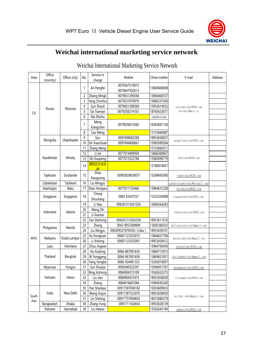

## **Weichai international marketing service network**

<span id="page-34-0"></span>

| Area       | Office<br>(country) | Office (city) | No.            | Service in<br>charge | Mobile                         | China mobile | E-mail                        | <b>Address</b>    |               |             |  |  |  |  |  |  |  |  |  |  |  |  |  |  |  |  |  |  |  |  |    |          |  |  |                          |
|------------|---------------------|---------------|----------------|----------------------|--------------------------------|--------------|-------------------------------|-------------------|---------------|-------------|--|--|--|--|--|--|--|--|--|--|--|--|--|--|--|--|--|--|--|--|----|----------|--|--|--------------------------|
|            |                     |               | 1              | An Pengfei           | 0079267519073<br>0079647932613 | 13869608008  |                               |                   |               |             |  |  |  |  |  |  |  |  |  |  |  |  |  |  |  |  |  |  |  |  |    |          |  |  |                          |
|            |                     |               | $\overline{c}$ | Zhang Mingli         | 0079651290588                  | 13806468357  |                               |                   |               |             |  |  |  |  |  |  |  |  |  |  |  |  |  |  |  |  |  |  |  |  |    |          |  |  |                          |
|            |                     |               | 3              | Yang Chunhui         | 0079251070970                  | 15866537430  |                               |                   |               |             |  |  |  |  |  |  |  |  |  |  |  |  |  |  |  |  |  |  |  |  |    |          |  |  |                          |
|            |                     | Moscow        | 4              | Sun Shouli           | 0079651298369                  | 15953614932  | russiaweichai@163.com         |                   |               |             |  |  |  |  |  |  |  |  |  |  |  |  |  |  |  |  |  |  |  |  |    |          |  |  |                          |
| <b>CIS</b> | Russia              |               | 5              | Ge Tiannan           | 0079258219103                  | 18765633071  | weichail@mail.ru              |                   |               |             |  |  |  |  |  |  |  |  |  |  |  |  |  |  |  |  |  |  |  |  |    |          |  |  |                          |
|            |                     |               | 6              | Ma Shizhu            |                                | 18660616360  |                               |                   |               |             |  |  |  |  |  |  |  |  |  |  |  |  |  |  |  |  |  |  |  |  |    |          |  |  |                          |
|            |                     |               |                |                      |                                |              | $\overline{7}$                | Meng<br>Xiangchen | 0079036815065 | 18365681128 |  |  |  |  |  |  |  |  |  |  |  |  |  |  |  |  |  |  |  |  |    |          |  |  |                          |
|            |                     |               | 8              | Cao Meng             |                                | 13153660087  |                               |                   |               |             |  |  |  |  |  |  |  |  |  |  |  |  |  |  |  |  |  |  |  |  |    |          |  |  |                          |
|            |                     |               | 9              | Sun                  | 0097699602398                  | 18953658057  |                               |                   |               |             |  |  |  |  |  |  |  |  |  |  |  |  |  |  |  |  |  |  |  |  |    |          |  |  |                          |
|            | Mongolia            | Ulaanbaatar   | 10             | Shi Xiaochuan        | 0097694800661                  | 15965090504  | mongoliaweichai@163.com       |                   |               |             |  |  |  |  |  |  |  |  |  |  |  |  |  |  |  |  |  |  |  |  |    |          |  |  |                          |
|            |                     |               | 11             | Zhang Meng           |                                | 15153682611  |                               |                   |               |             |  |  |  |  |  |  |  |  |  |  |  |  |  |  |  |  |  |  |  |  |    |          |  |  |                          |
|            |                     |               | 12             | Li Jie               | 0077014489958                  | 13666360667  |                               |                   |               |             |  |  |  |  |  |  |  |  |  |  |  |  |  |  |  |  |  |  |  |  |    |          |  |  |                          |
|            | Kazakhstan          | Almaty        | 13             | Shi Guopeng          | 0077013522786                  | 15965090719  | kzweichai@126.com             |                   |               |             |  |  |  |  |  |  |  |  |  |  |  |  |  |  |  |  |  |  |  |  |    |          |  |  |                          |
|            |                     |               | 14             | 居玛艾力·吐尔<br>狲         |                                | 13780819457  |                               |                   |               |             |  |  |  |  |  |  |  |  |  |  |  |  |  |  |  |  |  |  |  |  |    |          |  |  |                          |
|            | Tajikistan          | Dushanbe      | 15             | Zhao<br>Xiaoguang    | 00992929630037                 | 15269665590  | tjkweichai@126.com            |                   |               |             |  |  |  |  |  |  |  |  |  |  |  |  |  |  |  |  |  |  |  |  |    |          |  |  |                          |
|            | Uzbekistan          | Tashkent      | 16             | Liu Mingyu           |                                |              | uzbekistanweichai@hotmail.com |                   |               |             |  |  |  |  |  |  |  |  |  |  |  |  |  |  |  |  |  |  |  |  |    |          |  |  |                          |
|            | Azerbaijan          | Baku          | 17             | Shan Hongwu          | 0077011725466                  | 13964631238  | weichaiaze@163.com            |                   |               |             |  |  |  |  |  |  |  |  |  |  |  |  |  |  |  |  |  |  |  |  |    |          |  |  |                          |
|            | Singapore           | Singapore     | 18             | Cheng<br>Shouliang   | 0065 83547257                  | 13325250488  | singaporeweichai@163.com      |                   |               |             |  |  |  |  |  |  |  |  |  |  |  |  |  |  |  |  |  |  |  |  |    |          |  |  |                          |
|            | Indonesia           | Jakarta       | 19             | Li Hao               | 006281213421256                | 13696364283  |                               |                   |               |             |  |  |  |  |  |  |  |  |  |  |  |  |  |  |  |  |  |  |  |  |    |          |  |  |                          |
|            |                     |               |                |                      |                                |              |                               |                   |               |             |  |  |  |  |  |  |  |  |  |  |  |  |  |  |  |  |  |  |  |  | 20 | Wang Zhi |  |  | indonesiaweichai@163.com |
|            |                     |               | 21             | Li Guotao            |                                |              |                               |                   |               |             |  |  |  |  |  |  |  |  |  |  |  |  |  |  |  |  |  |  |  |  |    |          |  |  |                          |
|            |                     |               | 22             | Yan Dezhong          | 006281212562558                | 18953611016  |                               |                   |               |             |  |  |  |  |  |  |  |  |  |  |  |  |  |  |  |  |  |  |  |  |    |          |  |  |                          |
|            | Philippines         | Manila        | 23             | Zhang                | 0063 9053389899                | 13695368355  | philippinesweichai@gmail.com  |                   |               |             |  |  |  |  |  |  |  |  |  |  |  |  |  |  |  |  |  |  |  |  |    |          |  |  |                          |
|            |                     |               | 24             | Liu Ningyu           | 006309327870038 (Cebu)         | 18953658101  |                               |                   |               |             |  |  |  |  |  |  |  |  |  |  |  |  |  |  |  |  |  |  |  |  |    |          |  |  |                          |
| APAC       | Malaysia            | Kuala Lumpur  | 25             | Xu Hongluan          | 00601123525072                 | 13864627796  | malaysiaweichai@gmail.com     |                   |               |             |  |  |  |  |  |  |  |  |  |  |  |  |  |  |  |  |  |  |  |  |    |          |  |  |                          |
|            |                     |               | 26             | Li Xinlong           | 00601123525081                 | 18953658012  |                               |                   |               |             |  |  |  |  |  |  |  |  |  |  |  |  |  |  |  |  |  |  |  |  |    |          |  |  |                          |
|            | Laos                | Vientiane     | 27             | Zhou Jingwei         |                                | 13964700450  | laosweichai@163.com           |                   |               |             |  |  |  |  |  |  |  |  |  |  |  |  |  |  |  |  |  |  |  |  |    |          |  |  |                          |
|            |                     |               | 28             | Hu Xudong            | 0066-867001639                 | 13884712915  |                               |                   |               |             |  |  |  |  |  |  |  |  |  |  |  |  |  |  |  |  |  |  |  |  |    |          |  |  |                          |
|            | Thailand            | Bangkok       | 29             | Bi Yonggang          | 0066-867001658                 | 13869621831  | thailandweichai@gmail.com     |                   |               |             |  |  |  |  |  |  |  |  |  |  |  |  |  |  |  |  |  |  |  |  |    |          |  |  |                          |
|            |                     |               | 30             | Yang Yongbo          | 0066-924461323                 | 15265816007  |                               |                   |               |             |  |  |  |  |  |  |  |  |  |  |  |  |  |  |  |  |  |  |  |  |    |          |  |  |                          |
|            | Myanmar             | Yangon        | 31             | Sun Shaojie          | 0095949325397                  | 15094931767  | mvanmarweichai@163.com        |                   |               |             |  |  |  |  |  |  |  |  |  |  |  |  |  |  |  |  |  |  |  |  |    |          |  |  |                          |
|            |                     |               | 32             | Ning Aizhong         | 0084904315108                  | 13562632375  |                               |                   |               |             |  |  |  |  |  |  |  |  |  |  |  |  |  |  |  |  |  |  |  |  |    |          |  |  |                          |
|            | Vietnam             | Hanoi         | 33             | Liu Jian             | 0084904351873                  | 18953658030  | vietnamweichai@163.com        |                   |               |             |  |  |  |  |  |  |  |  |  |  |  |  |  |  |  |  |  |  |  |  |    |          |  |  |                          |
|            |                     |               | 34             | Zhang                | 0084916681084                  | 15964585240  |                               |                   |               |             |  |  |  |  |  |  |  |  |  |  |  |  |  |  |  |  |  |  |  |  |    |          |  |  |                          |
|            |                     |               | 35             | Pan Shankao          | 00917387006182                 | 15053609833  |                               |                   |               |             |  |  |  |  |  |  |  |  |  |  |  |  |  |  |  |  |  |  |  |  |    |          |  |  |                          |
| South      | India               | New Delhi     | 36             | Wang Xiujun          | 00917387523070                 | 18953658050  | weichai.india@gmail.com       |                   |               |             |  |  |  |  |  |  |  |  |  |  |  |  |  |  |  |  |  |  |  |  |    |          |  |  |                          |
| Asia       |                     |               | 37             | Lin Shilong          | 00917757004650                 | 18615080279  |                               |                   |               |             |  |  |  |  |  |  |  |  |  |  |  |  |  |  |  |  |  |  |  |  |    |          |  |  |                          |
|            | Bangladesh          | Dhaka         | 38             | Zhang Yong           | 0091711542654                  | 18953658139  |                               |                   |               |             |  |  |  |  |  |  |  |  |  |  |  |  |  |  |  |  |  |  |  |  |    |          |  |  |                          |
|            | Pakistan            | Islamabad     | 39             | Liu Haitao           |                                | 13562645194  | pakweichai@163.com            |                   |               |             |  |  |  |  |  |  |  |  |  |  |  |  |  |  |  |  |  |  |  |  |    |          |  |  |                          |

## Weichai International Marketing Service Network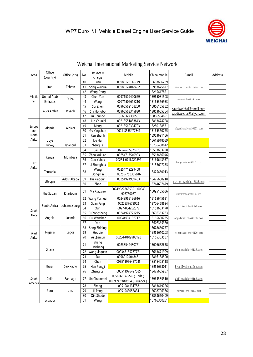

|         | Office             |               |          | Service in        |                                                   |              |                         |                      |  |              |    |           |               |             |                       |  |
|---------|--------------------|---------------|----------|-------------------|---------------------------------------------------|--------------|-------------------------|----------------------|--|--------------|----|-----------|---------------|-------------|-----------------------|--|
| Area    | (country)          | Office (city) | No.      | charge            | Mobile                                            | China mobile | E-mail                  | <b>Address</b>       |  |              |    |           |               |             |                       |  |
|         |                    |               | 40       | Luan              | 00989122146779                                    | 18663666289  |                         |                      |  |              |    |           |               |             |                       |  |
|         | Iran               | Tehran        | 41       | Song Weihua       | 00989124048462                                    | 13953675677  | iranweichai@aliyun.com  |                      |  |              |    |           |               |             |                       |  |
|         |                    |               | 42       | Wang Dong         |                                                   | 15265617851  |                         |                      |  |              |    |           |               |             |                       |  |
| Middle  | <b>United Arab</b> | Dubai         | 43       | Chen Yun          | 00971509420629                                    | 15965081508  | uaeweichai@163.com      |                      |  |              |    |           |               |             |                       |  |
| East    | Emirates           |               | 44       | Wang              | 00971502616210                                    | 15165366953  |                         |                      |  |              |    |           |               |             |                       |  |
|         |                    |               | 45       | Sui Zhen          | 00966562108200                                    | 15866165882  | saudiweichai@gmail.com  |                      |  |              |    |           |               |             |                       |  |
|         | Saudi Arabia       | Riyadh        | 46       | Shi Hongbo        | 00966563345830                                    | 13863655364  | saudiweichai@aliyun.com |                      |  |              |    |           |               |             |                       |  |
|         |                    |               | 47       | Yu Chunbo         | 966532738055                                      | 15866504651  |                         |                      |  |              |    |           |               |             |                       |  |
|         |                    |               | 48       | Huo Chunlei       | 00213551883843                                    | 13863674728  |                         |                      |  |              |    |           |               |             |                       |  |
| Europe  | Algeria            | Algiers       | 49       | Meng              | 00213560304723                                    | 13280138531  | algeriaweichai@163.com  |                      |  |              |    |           |               |             |                       |  |
| and     |                    |               | 50       | Gu Yingchun       | 0021-3555477841                                   | 15165360725  |                         |                      |  |              |    |           |               |             |                       |  |
| North   |                    |               | 51       | Ren Shunli        |                                                   | 18953621166  |                         |                      |  |              |    |           |               |             |                       |  |
| Africa  | Libya              |               | 52       | Liu Hui           |                                                   | 18615918089  |                         |                      |  |              |    |           |               |             |                       |  |
|         | Turkey             | Istanbul      | 53       | Zhang Lei         |                                                   | 13706468642  |                         |                      |  |              |    |           |               |             |                       |  |
|         |                    |               | 54       | Cai Lei           | 00254-705978578                                   | 13583683720  |                         |                      |  |              |    |           |               |             |                       |  |
|         | Kenya              | Mombasa       | 55       | Zhao Yukuan       | 00254717540993                                    | 13563666046  |                         |                      |  |              |    |           |               |             |                       |  |
| East    |                    |               | 56       | Guo Yuhua         | 00254-0718922892                                  | 15169643957  | kenyaweichai@163.com    |                      |  |              |    |           |               |             |                       |  |
| Africa  |                    |               | 57       | Li Zhonghua       |                                                   | 15153607233  |                         |                      |  |              |    |           |               |             |                       |  |
|         | Tanzania           |               | 58       | Wang              | 00254712299408                                    | 13475660013  |                         |                      |  |              |    |           |               |             |                       |  |
|         |                    |               |          | Dongmin           | 00255-758355846                                   |              |                         |                      |  |              |    |           |               |             |                       |  |
|         | Ethiopia           | Addis Ababa   | 59       | Hu Xiaoqun        | 00251924909463                                    | 13475680218  | ethiopiaweichai@126.com |                      |  |              |    |           |               |             |                       |  |
|         |                    |               | 60       | Zhao              |                                                   | 18764697679  |                         |                      |  |              |    |           |               |             |                       |  |
|         | the Sudan          |               | 61       | Ma Xiaoxiao       | 00249922868539<br>00249                           | 15095105086  |                         |                      |  |              |    |           |               |             |                       |  |
|         |                    | Khartoum      |          |                   |                                                   | 908750077    |                         | sudanweichai@126.com |  |              |    |           |               |             |                       |  |
|         |                    |               | 62       | Wang Yushuai      | 00249968126616                                    | 15165645631  |                         |                      |  |              |    |           |               |             |                       |  |
|         | South Africa       |               |          |                   |                                                   |              |                         |                      |  | Johannesburg | 63 | Guan Feng | 0027837673902 | 13706468624 | nanfeiweichai@163.com |  |
| South   |                    |               | 64       | Xun               | 0027-834252377                                    | 15153633170  |                         |                      |  |              |    |           |               |             |                       |  |
| Africa  |                    |               | 65       | Fu Yongsheng      | 00244924771275                                    | 13696363763  |                         |                      |  |              |    |           |               |             |                       |  |
|         | Angola             | Luanda        | 66       | Du Wenchao        | 00244934192717                                    | 15165600735  | angolaweichai@163.com   |                      |  |              |    |           |               |             |                       |  |
|         |                    |               | 67       | Yan               |                                                   | 18606365360  |                         |                      |  |              |    |           |               |             |                       |  |
|         |                    |               | 68       | Song Zhiping      |                                                   | 13678660757  |                         |                      |  |              |    |           |               |             |                       |  |
| West    | Nigeria            | Lagos         | 69       | Hou Jie           |                                                   | 18953610203  | nigeriaweichai@126.com  |                      |  |              |    |           |               |             |                       |  |
| Africa  |                    |               | 70       | Yu Qianjun        | 00234-8109983128                                  | 15165363587  |                         |                      |  |              |    |           |               |             |                       |  |
|         | Ghana              |               | 71       | Zhang<br>Haisheng | 00233544430761                                    | 15006652638  |                         |                      |  |              |    |           |               |             |                       |  |
|         |                    |               | 72       | Wang Jiaquan      | 002348155777771                                   | 18663671909  | ghanaweichai@126.com    |                      |  |              |    |           |               |             |                       |  |
|         |                    |               | 73       | Du                | 00989124048461                                    | 15866188500  |                         |                      |  |              |    |           |               |             |                       |  |
|         |                    |               | 74       | Chen              | 005511976427085                                   | 13515405118  |                         |                      |  |              |    |           |               |             |                       |  |
|         | <b>Brazil</b>      | Sao Paulo     | 75       | Han Pengji        |                                                   | 18953658011  | brazilweichai@qq.com    |                      |  |              |    |           |               |             |                       |  |
|         |                    |               | 76       | Zhang Lei         | 005511976427085                                   | 13475685957  |                         |                      |  |              |    |           |               |             |                       |  |
| South   | Chile              | Santiago      | 77       | Lin Chuanmei      | 0056965146276 (Chile)<br>00593992848964 (Ecuador) | 15964585510  | chileweichai@163.com    |                      |  |              |    |           |               |             |                       |  |
| America |                    |               | 78       | Zhang             | 0051984131788                                     | 15863619226  |                         |                      |  |              |    |           |               |             |                       |  |
|         | Peru               | Lima          | 79       | Li Peng           | 0051943058834                                     | 15628706366  | peruweichai@163.com     |                      |  |              |    |           |               |             |                       |  |
|         |                    |               |          | Qin Shude         |                                                   | 13853660409  |                         |                      |  |              |    |           |               |             |                       |  |
|         | Ecuador            |               | 80<br>81 | Wang              |                                                   | 18765360251  |                         |                      |  |              |    |           |               |             |                       |  |
|         |                    |               |          |                   |                                                   |              |                         |                      |  |              |    |           |               |             |                       |  |

### Weichai International Marketing Service Network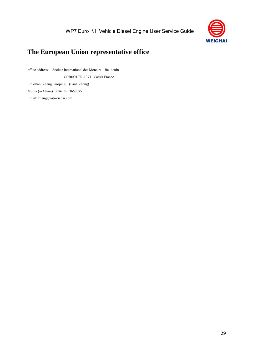

## <span id="page-36-0"></span>**The European Union representative office**

office address: Societe international des Moteurs Baudouin CS50001 FR-13711 Cassis France Linkman: Zhang Guoping (Paul. Zhang) Mobile(in China): 008618953658085 Email: zhanggp@weichai.com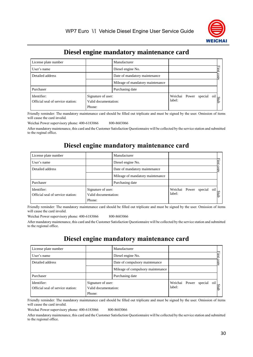

## **Diesel engine mandatory maintenance card**

<span id="page-37-0"></span>

| License plate number                             |                                                      | Manufacturer                     |                                                |  |  |
|--------------------------------------------------|------------------------------------------------------|----------------------------------|------------------------------------------------|--|--|
| User's name                                      |                                                      | Diesel engine No.                |                                                |  |  |
| Detailed address                                 |                                                      | Date of mandatory maintenance    |                                                |  |  |
|                                                  |                                                      | Mileage of mandatory maintenance |                                                |  |  |
| Purchaser                                        |                                                      | Purchasing date                  |                                                |  |  |
| Identifier:<br>Official seal of service station: | Signature of user:<br>Valid documentation:<br>Phone: |                                  | Weichai Power special oil $\log_{\frac{1}{2}}$ |  |  |

Friendly reminder: The mandatory maintenance card should be filled out triplicate and must be signed by the user. Omission of items will cause the card invalid.

Weichai Power supervisory phone: 400-6183066 800-8603066

After mandatory maintenance, this card and the Customer Satisfaction Questionnaire will be collected by the service station and submitted to the reginal office.

#### **Diesel engine mandatory maintenance card**

| License plate number                             |                                                      | Manufacturer                     |                                     |  |      |
|--------------------------------------------------|------------------------------------------------------|----------------------------------|-------------------------------------|--|------|
| User's name                                      |                                                      | Diesel engine No.                |                                     |  |      |
| Detailed address                                 |                                                      | Date of mandatory maintenance    |                                     |  |      |
|                                                  |                                                      | Mileage of mandatory maintenance |                                     |  |      |
| Purchaser                                        |                                                      | Purchasing date                  |                                     |  |      |
| Identifier:<br>Official seal of service station: | Signature of user:<br>Valid documentation:<br>Phone: |                                  | Weichai Power special oil<br>label: |  | Stub |

Friendly reminder: The mandatory maintenance card should be filled out triplicate and must be signed by the user. Omission of items will cause the card invalid.

Weichai Power supervisory phone: 400-6183066 800-8603066

After mandatory maintenance, this card and the Customer Satisfaction Questionnaire will be collected by the service station and submitted to the regional office.

### **Diesel engine mandatory maintenance card**

| License plate number                             |                                                      | Manufacturer                      |                         |         |     |      |
|--------------------------------------------------|------------------------------------------------------|-----------------------------------|-------------------------|---------|-----|------|
| User's name                                      |                                                      | Diesel engine No.                 |                         |         |     |      |
| Detailed address                                 |                                                      | Date of compulsory maintenance    |                         |         |     |      |
|                                                  |                                                      | Mileage of compulsory maintenance |                         |         |     |      |
| Purchaser                                        |                                                      | Purchasing date                   |                         |         |     |      |
| Identifier:<br>Official seal of service station: | Signature of user:<br>Valid documentation:<br>Phone: |                                   | Weichai Power<br>label: | special | oil | Stub |

Friendly reminder: The mandatory maintenance card should be filled out triplicate and must be signed by the user. Omission of items will cause the card invalid.

Weichai Power supervisory phone: 400-6183066 800-8603066

After mandatory maintenance, this card and the Customer Satisfaction Questionnaire will be collected by the service station and submitted to the regional office.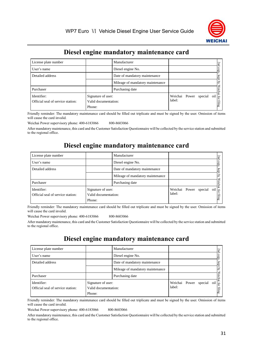

## **Diesel engine mandatory maintenance card**

| License plate number                             |                                                      | Manufacturer                     |                         |         |                | P |
|--------------------------------------------------|------------------------------------------------------|----------------------------------|-------------------------|---------|----------------|---|
| User's name                                      |                                                      | Diesel engine No.                |                         |         |                |   |
| Detailed address                                 |                                                      | Date of mandatory maintenance    |                         |         |                |   |
|                                                  |                                                      | Mileage of mandatory maintenance |                         |         |                |   |
| Purchaser                                        |                                                      | Purchasing date                  |                         |         |                |   |
| Identifier:<br>Official seal of service station: | Signature of user:<br>Valid documentation:<br>Phone: |                                  | Weichai Power<br>label: | special | $\overline{0}$ | ₽ |

Friendly reminder: The mandatory maintenance card should be filled out triplicate and must be signed by the user. Omission of items will cause the card invalid.

Weichai Power supervisory phone: 400-6183066 800-8603066

After mandatory maintenance, this card and the Customer Satisfaction Questionnaire will be collected by the service station and submitted to the regional office.

#### **Diesel engine mandatory maintenance card**

| License plate number              |                                            | Manufacturer                     |                       |  |            | Zп     |
|-----------------------------------|--------------------------------------------|----------------------------------|-----------------------|--|------------|--------|
| User's name                       |                                            | Diesel engine No.                |                       |  |            |        |
| Detailed address                  |                                            | Date of mandatory maintenance    |                       |  |            |        |
|                                   |                                            | Mileage of mandatory maintenance |                       |  |            |        |
| Purchaser                         |                                            | Purchasing date                  |                       |  |            |        |
| Identifier:                       | Signature of user:<br>Valid documentation: |                                  | Weichai Power special |  | oil<br>for |        |
| Official seal of service station: |                                            |                                  | label:                |  |            | filing |
|                                   | Phone:                                     |                                  |                       |  |            |        |

Friendly reminder: The mandatory maintenance card should be filled out triplicate and must be signed by the user. Omission of items will cause the card invalid.

Weichai Power supervisory phone: 400-6183066 800-8603066

After mandatory maintenance, this card and the Customer Satisfaction Questionnaire will be collected by the service station and submitted to the regional office.

### **Diesel engine mandatory maintenance card**

| License plate number                             |                                                      | Manufacturer                     |                                 |  |  |     |               |
|--------------------------------------------------|------------------------------------------------------|----------------------------------|---------------------------------|--|--|-----|---------------|
| User's name                                      |                                                      | Diesel engine No.                |                                 |  |  |     |               |
| Detailed address                                 |                                                      | Date of mandatory maintenance    |                                 |  |  |     |               |
|                                                  |                                                      | Mileage of mandatory maintenance |                                 |  |  |     |               |
| Purchaser                                        | Purchasing date                                      |                                  |                                 |  |  |     |               |
| Identifier:<br>Official seal of service station: | Signature of user:<br>Valid documentation:<br>Phone: |                                  | Weichai Power special<br>label: |  |  | oil | for<br>filing |

Friendly reminder: The mandatory maintenance card should be filled out triplicate and must be signed by the user. Omission of items will cause the card invalid.

Weichai Power supervisory phone: 400-6183066 800-8603066

After mandatory maintenance, this card and the Customer Satisfaction Questionnaire will be collected by the service station and submitted to the regional office.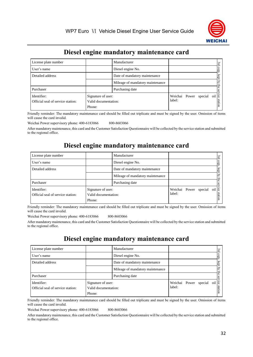

## **Diesel engine mandatory maintenance card**

| License plate number                             |                                                      | Manufacturer                     |                         |  |             | Ψ              |
|--------------------------------------------------|------------------------------------------------------|----------------------------------|-------------------------|--|-------------|----------------|
| User's name                                      |                                                      | Diesel engine No.                |                         |  |             |                |
| Detailed address                                 |                                                      | Date of mandatory maintenance    |                         |  |             |                |
|                                                  |                                                      | Mileage of mandatory maintenance |                         |  |             |                |
| Purchaser                                        | Purchasing date                                      |                                  |                         |  |             |                |
| Identifier:<br>Official seal of service station: | Signature of user:<br>Valid documentation:<br>Phone: |                                  | Weichai Power<br>label: |  | special oil | -lğ<br>station |

Friendly reminder: The mandatory maintenance card should be filled out triplicate and must be signed by the user. Omission of items will cause the card invalid.

Weichai Power supervisory phone: 400-6183066 800-8603066

After mandatory maintenance, this card and the Customer Satisfaction Questionnaire will be collected by the service station and submitted to the regional office.

### **Diesel engine mandatory maintenance card**

| License plate number              |                      | Manufacturer                     |                           |  |  | 3r <sub>c</sub> |
|-----------------------------------|----------------------|----------------------------------|---------------------------|--|--|-----------------|
| User's name                       |                      | Diesel engine No.                |                           |  |  |                 |
| Detailed address                  |                      | Date of mandatory maintenance    |                           |  |  |                 |
|                                   |                      | Mileage of mandatory maintenance |                           |  |  |                 |
| Purchaser                         | Purchasing date      |                                  |                           |  |  |                 |
| Identifier:                       | Signature of user:   |                                  | Weichai Power special oil |  |  |                 |
| Official seal of service station: | Valid documentation: |                                  | label:                    |  |  | station         |
|                                   | Phone:               |                                  |                           |  |  |                 |

Friendly reminder: The mandatory maintenance card should be filled out triplicate and must be signed by the user. Omission of items will cause the card invalid.

Weichai Power supervisory phone: 400-6183066 800-8603066

After mandatory maintenance, this card and the Customer Satisfaction Questionnaire will be collected by the service station and submitted to the regional office.

### **Diesel engine mandatory maintenance card**

| License plate number                             |                                                      | Manufacturer                     |                                     |  |  |                   |
|--------------------------------------------------|------------------------------------------------------|----------------------------------|-------------------------------------|--|--|-------------------|
| User's name                                      |                                                      | Diesel engine No.                |                                     |  |  |                   |
| Detailed address                                 |                                                      | Date of mandatory maintenance    |                                     |  |  |                   |
|                                                  |                                                      | Mileage of mandatory maintenance |                                     |  |  |                   |
| Purchaser                                        | Purchasing date                                      |                                  |                                     |  |  |                   |
| Identifier:<br>Official seal of service station: | Signature of user:<br>Valid documentation:<br>Phone: |                                  | Weichai Power special oil<br>label: |  |  | ΙŠ<br><b>Stro</b> |

Friendly reminder: The mandatory maintenance card should be filled out triplicate and must be signed by the user. Omission of items will cause the card invalid.

Weichai Power supervisory phone: 400-6183066 800-8603066

After mandatory maintenance, this card and the Customer Satisfaction Questionnaire will be collected by the service station and submitted to the regional office.